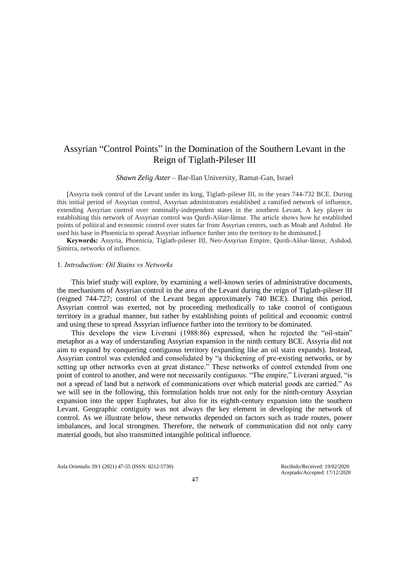# Assyrian "Control Points" in the Domination of the Southern Levant in the Reign of Tiglath-Pileser III

#### *Shawn Zelig Aster* – Bar-Ilan University, Ramat-Gan, Israel

[Assyria took control of the Levant under its king, Tiglath-pileser III, in the years 744-732 BCE. During this initial period of Assyrian control, Assyrian administrators established a ramified network of influence, extending Assyrian control over nominally-independent states in the southern Levant. A key player in establishing this network of Assyrian control was Qurdi-Aššur-lāmur. The article shows how he established points of political and economic control over states far from Assyrian centres, such as Moab and Ashdod. He used his base in Phoenicia to spread Assyrian influence further into the territory to be dominated.]

**Keywords:** Assyria, Phoenicia, Tiglath-pileser III, Neo-Assyrian Empire, Qurdi-Aššur-lāmur, Ashdod, Ṣimirra, networks of influence.

#### 1. *Introduction: Oil Stains vs Networks*

This brief study will explore, by examining a well-known series of administrative documents, the mechanisms of Assyrian control in the area of the Levant during the reign of Tiglath-pileser III (reigned 744-727; control of the Levant began approximately 740 BCE). During this period, Assyrian control was exerted, not by proceeding methodically to take control of contiguous territory in a gradual manner, but rather by establishing points of political and economic control and using these to spread Assyrian influence further into the territory to be dominated.

This develops the view Liverani (1988:86) expressed, when he rejected the "oil-stain" metaphor as a way of understanding Assyrian expansion in the ninth century BCE. Assyria did not aim to expand by conquering contiguous territory (expanding like an oil stain expands). Instead, Assyrian control was extended and consolidated by "a thickening of pre-existing networks, or by setting up other networks even at great distance." These networks of control extended from one point of control to another, and were not necessarily contiguous. "The empire," Liverani argued, "is not a spread of land but a network of communications over which material goods are carried." As we will see in the following, this formulation holds true not only for the ninth-century Assyrian expansion into the upper Euphrates, but also for its eighth-century expansion into the southern Levant. Geographic contiguity was not always the key element in developing the network of control. As we illustrate below, these networks depended on factors such as trade routes, power imbalances, and local strongmen. Therefore, the network of communication did not only carry material goods, but also transmitted intangible political influence.

Aula Orientalis 39/1 (2021) 47-55 (ISSN: 0212-5730) Recibido/Received: 19/02/2020

Aceptado/Accepted: 17/12/2020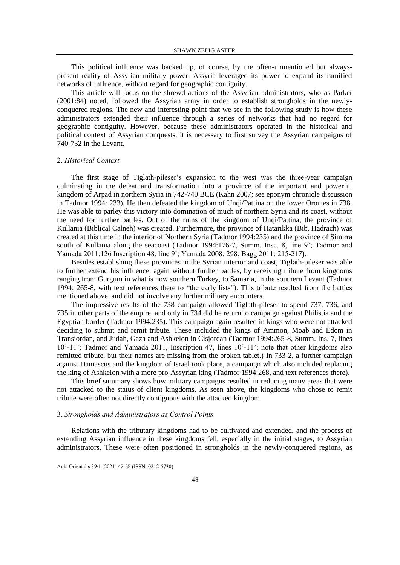This political influence was backed up, of course, by the often-unmentioned but alwayspresent reality of Assyrian military power. Assyria leveraged its power to expand its ramified networks of influence, without regard for geographic contiguity.

This article will focus on the shrewd actions of the Assyrian administrators, who as Parker (2001:84) noted, followed the Assyrian army in order to establish strongholds in the newlyconquered regions. The new and interesting point that we see in the following study is how these administrators extended their influence through a series of networks that had no regard for geographic contiguity. However, because these administrators operated in the historical and political context of Assyrian conquests, it is necessary to first survey the Assyrian campaigns of 740-732 in the Levant.

#### 2. *Historical Context*

The first stage of Tiglath-pileser's expansion to the west was the three-year campaign culminating in the defeat and transformation into a province of the important and powerful kingdom of Arpad in northern Syria in 742-740 BCE (Kahn 2007; see eponym chronicle discussion in Tadmor 1994: 233). He then defeated the kingdom of Unqi/Pattina on the lower Orontes in 738. He was able to parley this victory into domination of much of northern Syria and its coast, without the need for further battles. Out of the ruins of the kingdom of Unqi/Pattina, the province of Kullania (Biblical Calneh) was created. Furthermore, the province of Hatarikka (Bib. Hadrach) was created at this time in the interior of Northern Syria (Tadmor 1994:235) and the province of Ṣimirra south of Kullania along the seacoast (Tadmor 1994:176-7, Summ. Insc. 8, line 9'; Tadmor and Yamada 2011:126 Inscription 48, line 9'; Yamada 2008: 298; Bagg 2011: 215-217).

Besides establishing these provinces in the Syrian interior and coast, Tiglath-pileser was able to further extend his influence, again without further battles, by receiving tribute from kingdoms ranging from Gurgum in what is now southern Turkey, to Samaria, in the southern Levant (Tadmor 1994: 265-8, with text references there to "the early lists"). This tribute resulted from the battles mentioned above, and did not involve any further military encounters.

The impressive results of the 738 campaign allowed Tiglath-pileser to spend 737, 736, and 735 in other parts of the empire, and only in 734 did he return to campaign against Philistia and the Egyptian border (Tadmor 1994:235). This campaign again resulted in kings who were not attacked deciding to submit and remit tribute. These included the kings of Ammon, Moab and Edom in Transjordan, and Judah, Gaza and Ashkelon in Cisjordan (Tadmor 1994:265-8, Summ. Ins. 7, lines 10'-11'; Tadmor and Yamada 2011, Inscription 47, lines 10'-11'; note that other kingdoms also remitted tribute, but their names are missing from the broken tablet.) In 733-2, a further campaign against Damascus and the kingdom of Israel took place, a campaign which also included replacing the king of Ashkelon with a more pro-Assyrian king (Tadmor 1994:268, and text references there).

This brief summary shows how military campaigns resulted in reducing many areas that were not attacked to the status of client kingdoms. As seen above, the kingdoms who chose to remit tribute were often not directly contiguous with the attacked kingdom.

### 3. *Strongholds and Administrators as Control Points*

Relations with the tributary kingdoms had to be cultivated and extended, and the process of extending Assyrian influence in these kingdoms fell, especially in the initial stages, to Assyrian administrators. These were often positioned in strongholds in the newly-conquered regions, as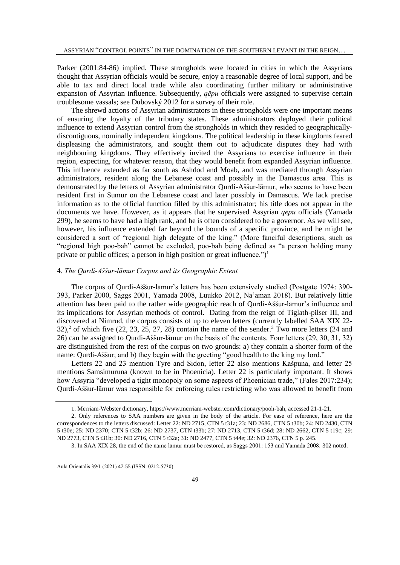Parker (2001:84-86) implied. These strongholds were located in cities in which the Assyrians thought that Assyrian officials would be secure, enjoy a reasonable degree of local support, and be able to tax and direct local trade while also coordinating further military or administrative expansion of Assyrian influence. Subsequently, *qēpu* officials were assigned to supervise certain troublesome vassals; see Dubovský 2012 for a survey of their role.

The shrewd actions of Assyrian administrators in these strongholds were one important means of ensuring the loyalty of the tributary states. These administrators deployed their political influence to extend Assyrian control from the strongholds in which they resided to geographicallydiscontiguous, nominally independent kingdoms . The political leadership in these kingdoms feared displeasing the administrators, and sought them out to adjudicate disputes they had with neighbouring kingdoms. They effectively invited the Assyrians to exercise influence in their region, expecting, for whatever reason, that they would benefit from expanded Assyrian influence. This influence extended as far south as Ashdod and Moab, and was mediated through Assyrian administrators, resident along the Lebanese coast and possibly in the Damascus area. This is demonstrated by the letters of Assyrian administrator Qurdi-Aššur-lāmur, who seems to have been resident first in Sumur on the Lebanese coast and later possibly in Damascus. We lack precise information as to the official function filled by this administrator; his title does not appear in the documents we have. However, as it appears that he supervised Assyrian *qēpu* officials (Yamada 299), he seems to have had a high rank, and he is often considered to be a governor. As we will see, however, his influence extended far beyond the bounds of a specific province, and he might be considered a sort of "regional high delegate of the king." (More fanciful descriptions, such as "regional high poo-bah" cannot be excluded, poo-bah being defined as "a person holding many private or public offices; a person in high position or great influence.")<sup>1</sup>

### 4. *The Qurdi-Aššur-lāmur Corpus and its Geographic Extent*

The corpus of Qurdi-Aššur-lāmur's letters has been extensively studied (Postgate 1974: 390- 393, Parker 2000, Saggs 2001, Yamada 2008, Luukko 2012, Na'aman 2018). But relatively little attention has been paid to the rather wide geographic reach of Qurdi-Aššur-lāmur's influence and its implications for Assyrian methods of control. Dating from the reign of Tiglath-pilser III, and discovered at Nimrud, the corpus consists of up to eleven letters (currently labelled SAA XIX 22-  $32$ ),<sup>2</sup> of which five (22, 23, 25, 27, 28) contain the name of the sender.<sup>3</sup> Two more letters (24 and 26) can be assigned to Qurdi-Aššur-lāmur on the basis of the contents. Four letters (29, 30, 31, 32) are distinguished from the rest of the corpus on two grounds: a) they contain a shorter form of the name: Qurdi-Aššur; and b) they begin with the greeting "good health to the king my lord."

Letters 22 and 23 mention Tyre and Sidon, letter 22 also mentions Kašpuna, and letter 25 mentions Samsimuruna (known to be in Phoenicia). Letter 22 is particularly important. It shows how Assyria "developed a tight monopoly on some aspects of Phoenician trade," (Fales 2017:234); Qurdi-Aššur-lāmur was responsible for enforcing rules restricting who was allowed to benefit from

<sup>1.</sup> Merriam-Webster dictionary, [https://www.merriam-webster.com/dictionary/pooh-bah,](https://www.merriam-webster.com/dictionary/pooh-bah) accessed 21-1-21.

<sup>2.</sup> Only references to SAA numbers are given in the body of the article. For ease of reference, here are the correspondences to the letters discussed: Letter 22: ND 2715, CTN 5 t31a; 23: ND 2686, CTN 5 t30b; 24: ND 2430, CTN 5 t30e; 25: ND 2370; CTN 5 t32b; 26: ND 2737, CTN t33b; 27: ND 2713, CTN 5 t36d; 28: ND 2662, CTN 5 t19c; 29: ND 2773, CTN 5 t31b; 30: ND 2716, CTN 5 t32a; 31: ND 2477, CTN 5 t44e; 32: ND 2376, CTN 5 p. 245.

<sup>3.</sup> In SAA XIX 28, the end of the name lāmur must be restored, as Saggs 2001: 153 and Yamada 2008: 302 noted.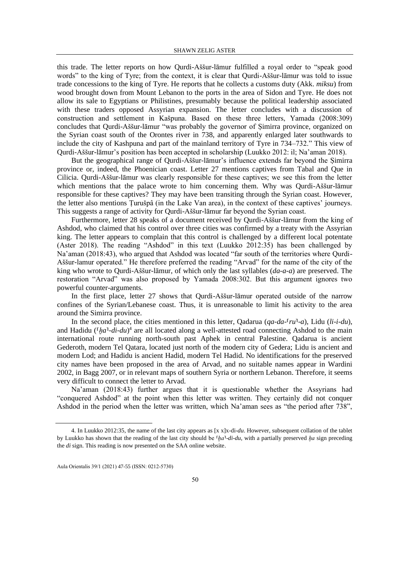this trade. The letter reports on how Qurdi-Aššur-lāmur fulfilled a royal order to "speak good words" to the king of Tyre; from the context, it is clear that Qurdi-Aššur-lāmur was told to issue trade concessions to the king of Tyre. He reports that he collects a customs duty (Akk. *miksu*) from wood brought down from Mount Lebanon to the ports in the area of Sidon and Tyre. He does not allow its sale to Egyptians or Philistines, presumably because the political leadership associated with these traders opposed Assyrian expansion. The letter concludes with a discussion of construction and settlement in Kašpuna. Based on these three letters, Yamada (2008:309) concludes that Qurdi-Aššur-lāmur "was probably the governor of Ṣimirra province, organized on the Syrian coast south of the Orontes river in 738, and apparently enlarged later southwards to include the city of Kashpuna and part of the mainland territory of Tyre in 734–732." This view of Qurdi-Aššur-lāmur's position has been accepted in scholarship (Luukko 2012: il; Na'aman 2018).

But the geographical range of Qurdi-Aššur-lāmur's influence extends far beyond the Simirra province or, indeed, the Phoenician coast. Letter 27 mentions captives from Tabal and Que in Cilicia. Qurdi-Aššur-lāmur was clearly responsible for these captives; we see this from the letter which mentions that the palace wrote to him concerning them. Why was Qurdi-Aššur-lāmur responsible for these captives? They may have been transiting through the Syrian coast. However, the letter also mentions Ṭurušpâ (in the Lake Van area), in the context of these captives' journeys. This suggests a range of activity for Qurdi-Aššur-lāmur far beyond the Syrian coast.

Furthermore, letter 28 speaks of a document received by Qurdi-Aššur-lāmur from the king of Ashdod, who claimed that his control over three cities was confirmed by a treaty with the Assyrian king. The letter appears to complain that this control is challenged by a different local potentate (Aster 2018). The reading "Ashdod" in this text (Luukko 2012:35) has been challenged by Na'aman (2018:43), who argued that Ashdod was located "far south of the territories where Qurdi-Aššur-lamur operated." He therefore preferred the reading "Arvad" for the name of the city of the king who wrote to Qurdi-Aššur-lāmur, of which only the last syllables (*da-a-a*) are preserved. The restoration "Arvad" was also proposed by Yamada 2008:302. But this argument ignores two powerful counter-arguments.

In the first place, letter 27 shows that Qurdi-Aššur-lāmur operated outside of the narrow confines of the Syrian/Lebanese coast. Thus, it is unreasonable to limit his activity to the area around the Simirra province.

In the second place, the cities mentioned in this letter, Qadarua ( $qa$ - $da$ - $\lceil ru \rceil$ - $a$ ), Lidu (*li-i-du*), and Hadidu (<sup>*[ha]-di-du*)<sup>4</sup> are all located along a well-attested road connecting Ashdod to the main</sup> international route running north-south past Aphek in central Palestine. Qadarua is ancient Gederoth, modern Tel Qatara, located just north of the modern city of Gedera; Lidu is ancient and modern Lod; and Hadidu is ancient Hadid, modern Tel Hadid. No identifications for the preserved city names have been proposed in the area of Arvad, and no suitable names appear in Wardini 2002, in Bagg 2007, or in relevant maps of southern Syria or northern Lebanon. Therefore, it seems very difficult to connect the letter to Arvad.

Na'aman (2018:43) further argues that it is questionable whether the Assyrians had "conquered Ashdod" at the point when this letter was written. They certainly did not conquer Ashdod in the period when the letter was written, which Na'aman sees as "the period after 738",

<sup>4.</sup> In Luukko 2012:35, the name of the last city appears as [x x]x-di-*du*. However, subsequent collation of the tablet by Luukko has shown that the reading of the last city should be <sup>*fha*1-*di-du*, with a partially preserved *ha* sign preceding</sup> the *di* sign. This reading is now presented on the SAA online website.

Aula Orientalis 39/1 (2021) 47-55 (ISSN: 0212-5730)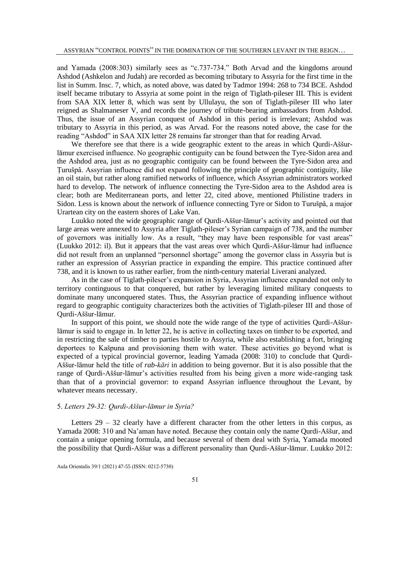and Yamada (2008:303) similarly sees as "c.737-734." Both Arvad and the kingdoms around Ashdod (Ashkelon and Judah) are recorded as becoming tributary to Assyria for the first time in the list in Summ. Insc. 7, which, as noted above, was dated by Tadmor 1994: 268 to 734 BCE. Ashdod itself became tributary to Assyria at some point in the reign of Tiglath-pileser III. This is evident from SAA XIX letter 8, which was sent by Ullulayu, the son of Tiglath-pileser III who later reigned as Shalmaneser V, and records the journey of tribute-bearing ambassadors from Ashdod. Thus, the issue of an Assyrian conquest of Ashdod in this period is irrelevant; Ashdod was tributary to Assyria in this period, as was Arvad. For the reasons noted above, the case for the reading "Ashdod" in SAA XIX letter 28 remains far stronger than that for reading Arvad.

We therefore see that there is a wide geographic extent to the areas in which Qurdi-Aššurlāmur exercised influence. No geographic contiguity can be found between the Tyre-Sidon area and the Ashdod area, just as no geographic contiguity can be found between the Tyre-Sidon area and Ṭurušpâ. Assyrian influence did not expand following the principle of geographic contiguity, like an oil stain, but rather along ramified networks of influence, which Assyrian administrators worked hard to develop. The network of influence connecting the Tyre-Sidon area to the Ashdod area is clear; both are Mediterranean ports, and letter 22, cited above, mentioned Philistine traders in Sidon. Less is known about the network of influence connecting Tyre or Sidon to Turušpâ, a major Urartean city on the eastern shores of Lake Van.

Luukko noted the wide geographic range of Qurdi-Aššur-lāmur's activity and pointed out that large areas were annexed to Assyria after Tiglath-pileser's Syrian campaign of 738, and the number of governors was initially low. As a result, "they may have been responsible for vast areas" (Luukko 2012: il). But it appears that the vast areas over which Qurdi-Aššur-lāmur had influence did not result from an unplanned "personnel shortage" among the governor class in Assyria but is rather an expression of Assyrian practice in expanding the empire. This practice continued after 738, and it is known to us rather earlier, from the ninth-century material Liverani analyzed.

As in the case of Tiglath-pileser's expansion in Syria, Assyrian influence expanded not only to territory continguous to that conquered, but rather by leveraging limited military conquests to dominate many unconquered states. Thus, the Assyrian practice of expanding influence without regard to geographic contiguity characterizes both the activities of Tiglath-pileser III and those of Qurdi-Aššur-lāmur.

In support of this point, we should note the wide range of the type of activities Qurdi-Aššurlāmur is said to engage in. In letter 22, he is active in collecting taxes on timber to be exported, and in restricting the sale of timber to parties hostile to Assyria, while also establishing a fort, bringing deportees to Kašpuna and provisioning them with water. These activities go beyond what is expected of a typical provincial governor, leading Yamada (2008: 310) to conclude that Qurdi-Aššur-lāmur held the title of *rab-kāri* in addition to being governor. But it is also possible that the range of Qurdi-Aššur-lāmur's activities resulted from his being given a more wide-ranging task than that of a provincial governor: to expand Assyrian influence throughout the Levant, by whatever means necessary.

# 5. *Letters 29-32: Qurdi-Aššur-lāmur in Syria?*

Letters  $29 - 32$  clearly have a different character from the other letters in this corpus, as Yamada 2008: 310 and Na'aman have noted. Because they contain only the name Qurdi-Aššur, and contain a unique opening formula, and because several of them deal with Syria, Yamada mooted the possibility that Qurdi-Aššur was a different personality than Qurdi-Aššur-lāmur. Luukko 2012: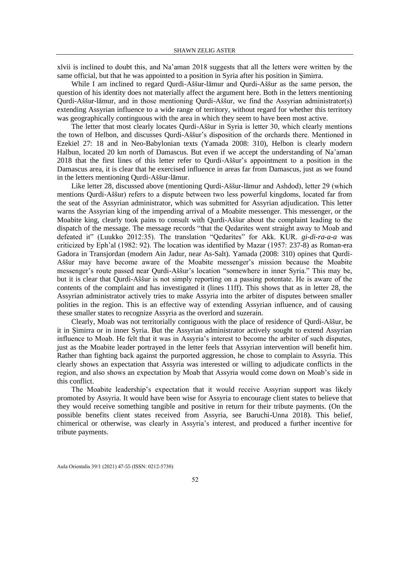xlvii is inclined to doubt this, and Na'aman 2018 suggests that all the letters were written by the same official, but that he was appointed to a position in Syria after his position in Simirra.

While I am inclined to regard Qurdi-Aššur-lāmur and Qurdi-Aššur as the same person, the question of his identity does not materially affect the argument here. Both in the letters mentioning Qurdi-Aššur-lāmur, and in those mentioning Qurdi-Aššur, we find the Assyrian administrator(s) extending Assyrian influence to a wide range of territory, without regard for whether this territory was geographically continguous with the area in which they seem to have been most active.

The letter that most clearly locates Qurdi-Aššur in Syria is letter 30, which clearly mentions the town of Helbon, and discusses Qurdi-Aššur's disposition of the orchards there. Mentioned in Ezekiel 27: 18 and in Neo-Babylonian texts (Yamada 2008: 310), Helbon is clearly modern Halbun, located 20 km north of Damascus. But even if we accept the understanding of Na'aman 2018 that the first lines of this letter refer to Qurdi-Aššur's appointment to a position in the Damascus area, it is clear that he exercised influence in areas far from Damascus, just as we found in the letters mentioning Qurdi-Aššur-lāmur.

Like letter 28, discussed above (mentioning Qurdi-Aššur-lāmur and Ashdod), letter 29 (which mentions Qurdi-Aššur) refers to a dispute between two less powerful kingdoms, located far from the seat of the Assyrian administrator, which was submitted for Assyrian adjudication. This letter warns the Assyrian king of the impending arrival of a Moabite messenger. This messenger, or the Moabite king, clearly took pains to consult with Qurdi-Aššur about the complaint leading to the dispatch of the message. The message records "that the Qedarites went straight away to Moab and defeated it" (Luukko 2012:35). The translation "Qedarites" for Akk. KUR. *gi-di-ra-a-a* was criticized by Eph'al (1982: 92). The location was identified by Mazar (1957: 237-8) as Roman-era Gadora in Transjordan (modern Ain Jadur, near As-Salt). Yamada (2008: 310) opines that Qurdi-Aššur may have become aware of the Moabite messenger's mission because the Moabite messenger's route passed near Qurdi-Aššur's location "somewhere in inner Syria." This may be, but it is clear that Qurdi-Aššur is not simply reporting on a passing potentate. He is aware of the contents of the complaint and has investigated it (lines 11ff). This shows that as in letter 28, the Assyrian administrator actively tries to make Assyria into the arbiter of disputes between smaller polities in the region. This is an effective way of extending Assyrian influence, and of causing these smaller states to recognize Assyria as the overlord and suzerain.

Clearly, Moab was not territorially contiguous with the place of residence of Qurdi-Aššur, be it in Ṣimirra or in inner Syria. But the Assyrian administrator actively sought to extend Assyrian influence to Moab. He felt that it was in Assyria's interest to become the arbiter of such disputes, just as the Moabite leader portrayed in the letter feels that Assyrian intervention will benefit him. Rather than fighting back against the purported aggression, he chose to complain to Assyria. This clearly shows an expectation that Assyria was interested or willing to adjudicate conflicts in the region, and also shows an expectation by Moab that Assyria would come down on Moab's side in this conflict.

The Moabite leadership's expectation that it would receive Assyrian support was likely promoted by Assyria. It would have been wise for Assyria to encourage client states to believe that they would receive something tangible and positive in return for their tribute payments. (On the possible benefits client states received from Assyria, see Baruchi-Unna 2018). This belief, chimerical or otherwise, was clearly in Assyria's interest, and produced a further incentive for tribute payments.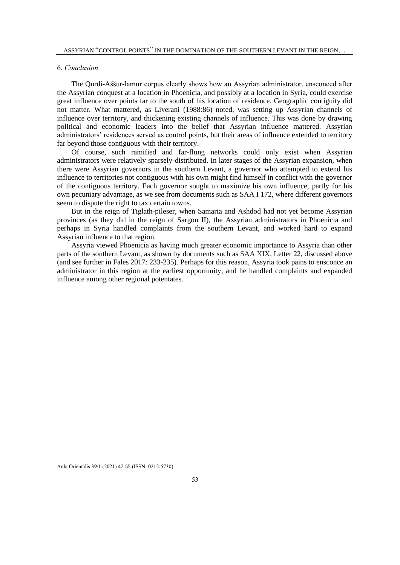# 6. *Conclusion*

The Qurdi-Aššur-lāmur corpus clearly shows how an Assyrian administrator, ensconced after the Assyrian conquest at a location in Phoenicia, and possibly at a location in Syria, could exercise great influence over points far to the south of his location of residence. Geographic contiguity did not matter. What mattered, as Liverani (1988:86) noted, was setting up Assyrian channels of influence over territory, and thickening existing channels of influence. This was done by drawing political and economic leaders into the belief that Assyrian influence mattered. Assyrian administrators' residences served as control points, but their areas of influence extended to territory far beyond those contiguous with their territory.

Of course, such ramified and far-flung networks could only exist when Assyrian administrators were relatively sparsely-distributed. In later stages of the Assyrian expansion, when there were Assyrian governors in the southern Levant, a governor who attempted to extend his influence to territories not contiguous with his own might find himself in conflict with the governor of the contiguous territory. Each governor sought to maximize his own influence, partly for his own pecuniary advantage, as we see from documents such as SAA I 172, where different governors seem to dispute the right to tax certain towns.

But in the reign of Tiglath-pileser, when Samaria and Ashdod had not yet become Assyrian provinces (as they did in the reign of Sargon II), the Assyrian administrators in Phoenicia and perhaps in Syria handled complaints from the southern Levant, and worked hard to expand Assyrian influence to that region.

Assyria viewed Phoenicia as having much greater economic importance to Assyria than other parts of the southern Levant, as shown by documents such as SAA XIX, Letter 22, discussed above (and see further in Fales 2017: 233-235). Perhaps for this reason, Assyria took pains to ensconce an administrator in this region at the earliest opportunity, and he handled complaints and expanded influence among other regional potentates.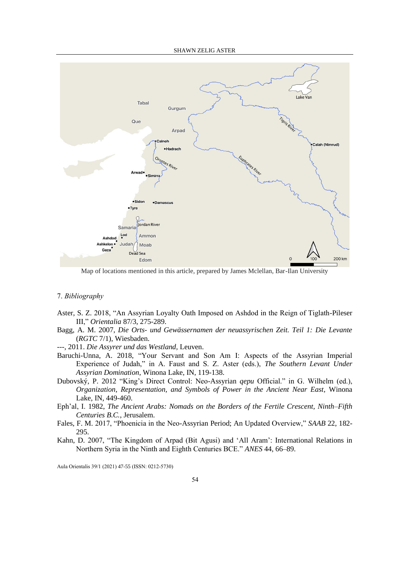

Map of locations mentioned in this article, prepared by James Mclellan, Bar-Ilan University

# 7. *Bibliography*

- Aster, S. Z. 2018, "An Assyrian Loyalty Oath Imposed on Ashdod in the Reign of Tiglath-Pileser III," *Orientalia* 87/3, 275-289.
- Bagg, A. M. 2007, *Die Orts- und Gewässernamen der neuassyrischen Zeit. Teil 1: Die Levante* (*RGTC* 7/1), Wiesbaden.
- ---, 2011. *Die Assyrer und das Westland,* Leuven.
- Baruchi-Unna, A. 2018, "Your Servant and Son Am I: Aspects of the Assyrian Imperial Experience of Judah," in A. Faust and S. Z. Aster (eds.), *The Southern Levant Under Assyrian Domination*, Winona Lake, IN, 119-138.
- Dubovský, P. 2012 "King's Direct Control: Neo-Assyrian *qepu* Official." in G. Wilhelm (ed.), *Organization, Representation, and Symbols of Power in the Ancient Near East,* Winona Lake, IN, 449-460.
- Eph'al, I. 1982, *The Ancient Arabs: Nomads on the Borders of the Fertile Crescent, Ninth–Fifth Centuries B.C.*, Jerusalem.
- Fales, F. M. 2017, "Phoenicia in the Neo-Assyrian Period; An Updated Overview," *SAAB* 22, 182- 295.
- Kahn, D. 2007, "The Kingdom of Arpad (Bit Agusi) and 'All Aram': International Relations in Northern Syria in the Ninth and Eighth Centuries BCE." *ANES* 44, 66–89.